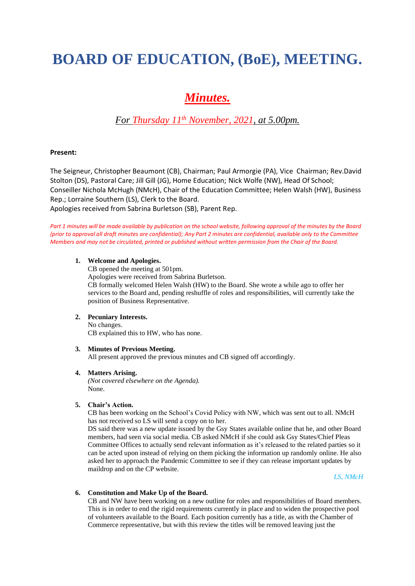# **BOARD OF EDUCATION, (BoE), MEETING.**

## *Minutes.*

### *For Thursday 11th November, 2021, at 5.00pm.*

#### **Present:**

The Seigneur, Christopher Beaumont (CB), Chairman; Paul Armorgie (PA), Vice Chairman; Rev.David Stolton (DS), Pastoral Care; Jill Gill (JG), Home Education; Nick Wolfe (NW), Head Of School; Conseiller Nichola McHugh (NMcH), Chair of the Education Committee; Helen Walsh (HW), Business Rep.; Lorraine Southern (LS), Clerk to the Board. Apologies received from Sabrina Burletson (SB), Parent Rep.

Part 1 minutes will be made available by publication on the school website, following approval of the minutes by the Board *(prior to approval all draft minutes are confidential); Any Part 2 minutes are confidential, available only to the Committee Members and may not be circulated, printed or published without written permission from the Chair of the Board.*

#### **1. Welcome and Apologies.**

CB opened the meeting at 501pm. Apologies were received from Sabrina Burletson. CB formally welcomed Helen Walsh (HW) to the Board. She wrote a while ago to offer her services to the Board and, pending reshuffle of roles and responsibilities, will currently take the position of Business Representative.

#### **2. Pecuniary Interests.**

No changes. CB explained this to HW, who has none.

#### **3. Minutes of Previous Meeting.**

All present approved the previous minutes and CB signed off accordingly.

#### **4. Matters Arising.**

*(Not covered elsewhere on the Agenda).* None.

#### **5. Chair's Action.**

CB has been working on the School's Covid Policy with NW, which was sent out to all. NMcH has not received so LS will send a copy on to her.

DS said there was a new update issued by the Gsy States available online that he, and other Board members, had seen via social media. CB asked NMcH if she could ask Gsy States/Chief Pleas Committee Offices to actually send relevant information as it's released to the related parties so it can be acted upon instead of relying on them picking the information up randomly online. He also asked her to approach the Pandemic Committee to see if they can release important updates by maildrop and on the CP website.

*LS, NMcH*

#### **6. Constitution and Make Up of the Board.**

CB and NW have been working on a new outline for roles and responsibilities of Board members. This is in order to end the rigid requirements currently in place and to widen the prospective pool of volunteers available to the Board. Each position currently has a title, as with the Chamber of Commerce representative, but with this review the titles will be removed leaving just the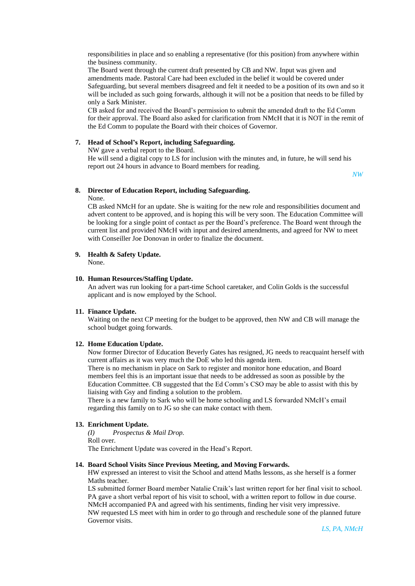responsibilities in place and so enabling a representative (for this position) from anywhere within the business community.

The Board went through the current draft presented by CB and NW. Input was given and amendments made. Pastoral Care had been excluded in the belief it would be covered under Safeguarding, but several members disagreed and felt it needed to be a position of its own and so it will be included as such going forwards, although it will not be a position that needs to be filled by only a Sark Minister.

CB asked for and received the Board's permission to submit the amended draft to the Ed Comm for their approval. The Board also asked for clarification from NMcH that it is NOT in the remit of the Ed Comm to populate the Board with their choices of Governor.

#### **7. Head of School's Report, including Safeguarding.**

NW gave a verbal report to the Board.

He will send a digital copy to LS for inclusion with the minutes and, in future, he will send his report out 24 hours in advance to Board members for reading.

*NW*

#### **8. Director of Education Report, including Safeguarding.**

None.

CB asked NMcH for an update. She is waiting for the new role and responsibilities document and advert content to be approved, and is hoping this will be very soon. The Education Committee will be looking for a single point of contact as per the Board's preference. The Board went through the current list and provided NMcH with input and desired amendments, and agreed for NW to meet with Conseiller Joe Donovan in order to finalize the document.

#### **9. Health & Safety Update.** None.

#### **10. Human Resources/Staffing Update.**

An advert was run looking for a part-time School caretaker, and Colin Golds is the successful applicant and is now employed by the School.

#### **11. Finance Update.**

Waiting on the next CP meeting for the budget to be approved, then NW and CB will manage the school budget going forwards.

#### **12. Home Education Update.**

Now former Director of Education Beverly Gates has resigned, JG needs to reacquaint herself with current affairs as it was very much the DoE who led this agenda item.

There is no mechanism in place on Sark to register and monitor hone education, and Board members feel this is an important issue that needs to be addressed as soon as possible by the Education Committee. CB suggested that the Ed Comm's CSO may be able to assist with this by liaising with Gsy and finding a solution to the problem.

There is a new family to Sark who will be home schooling and LS forwarded NMcH's email regarding this family on to JG so she can make contact with them.

#### **13. Enrichment Update.**

*(I) Prospectus & Mail Drop.* Roll over. The Enrichment Update was covered in the Head's Report.

#### **14. Board School Visits Since Previous Meeting, and Moving Forwards.**

HW expressed an interest to visit the School and attend Maths lessons, as she herself is a former Maths teacher.

LS submitted former Board member Natalie Craik's last written report for her final visit to school. PA gave a short verbal report of his visit to school, with a written report to follow in due course. NMcH accompanied PA and agreed with his sentiments, finding her visit very impressive. NW requested LS meet with him in order to go through and reschedule sone of the planned future Governor visits.

*LS, PA, NMcH*